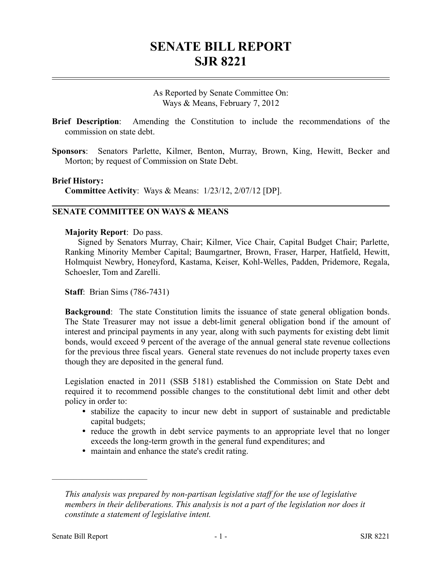# **SENATE BILL REPORT SJR 8221**

As Reported by Senate Committee On: Ways & Means, February 7, 2012

- **Brief Description**: Amending the Constitution to include the recommendations of the commission on state debt.
- **Sponsors**: Senators Parlette, Kilmer, Benton, Murray, Brown, King, Hewitt, Becker and Morton; by request of Commission on State Debt.

### **Brief History:**

**Committee Activity**: Ways & Means: 1/23/12, 2/07/12 [DP].

## **SENATE COMMITTEE ON WAYS & MEANS**

### **Majority Report**: Do pass.

Signed by Senators Murray, Chair; Kilmer, Vice Chair, Capital Budget Chair; Parlette, Ranking Minority Member Capital; Baumgartner, Brown, Fraser, Harper, Hatfield, Hewitt, Holmquist Newbry, Honeyford, Kastama, Keiser, Kohl-Welles, Padden, Pridemore, Regala, Schoesler, Tom and Zarelli.

**Staff**: Brian Sims (786-7431)

**Background**: The state Constitution limits the issuance of state general obligation bonds. The State Treasurer may not issue a debt-limit general obligation bond if the amount of interest and principal payments in any year, along with such payments for existing debt limit bonds, would exceed 9 percent of the average of the annual general state revenue collections for the previous three fiscal years. General state revenues do not include property taxes even though they are deposited in the general fund.

Legislation enacted in 2011 (SSB 5181) established the Commission on State Debt and required it to recommend possible changes to the constitutional debt limit and other debt policy in order to:

- stabilize the capacity to incur new debt in support of sustainable and predictable capital budgets;
- reduce the growth in debt service payments to an appropriate level that no longer exceeds the long-term growth in the general fund expenditures; and
- maintain and enhance the state's credit rating.

––––––––––––––––––––––

*This analysis was prepared by non-partisan legislative staff for the use of legislative members in their deliberations. This analysis is not a part of the legislation nor does it constitute a statement of legislative intent.*